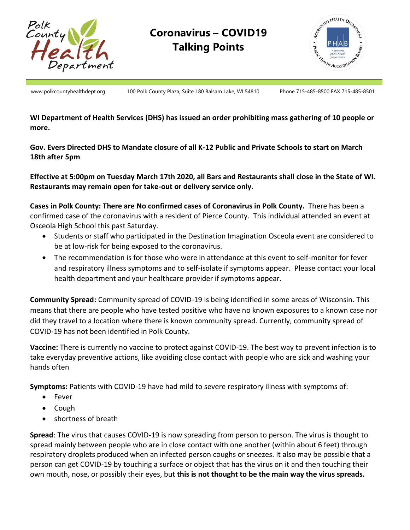

## **Coronavirus – COVID19 Talking Points**



www.polkcountyhealthdept.org 100 Polk County Plaza, Suite 180 Balsam Lake, WI 54810 Phone 715-485-8500 FAX 715-485-8501

**WI Department of Health Services (DHS) has issued an order prohibiting mass gathering of 10 people or more.**

**Gov. Evers Directed DHS to Mandate closure of all K-12 Public and Private Schools to start on March 18th after 5pm**

**Effective at 5:00pm on Tuesday March 17th 2020, all Bars and Restaurants shall close in the State of WI. Restaurants may remain open for take-out or delivery service only.**

**Cases in Polk County: There are No confirmed cases of Coronavirus in Polk County.** There has been a confirmed case of the coronavirus with a resident of Pierce County. This individual attended an event at Osceola High School this past Saturday.

- Students or staff who participated in the Destination Imagination Osceola event are considered to be at low-risk for being exposed to the coronavirus.
- The recommendation is for those who were in attendance at this event to self-monitor for fever and respiratory illness symptoms and to self-isolate if symptoms appear. Please contact your local health department and your healthcare provider if symptoms appear.

**Community Spread:** Community spread of COVID-19 is being identified in some areas of Wisconsin. This means that there are people who have tested positive who have no known exposures to a known case nor did they travel to a location where there is known community spread. Currently, community spread of COVID-19 has not been identified in Polk County.

**Vaccine:** There is currently no vaccine to protect against COVID-19. The best way to prevent infection is to take everyday preventive actions, like avoiding close contact with people who are sick and washing your hands often

**Symptoms:** Patients with COVID-19 have had mild to severe respiratory illness with symptoms of:

- Fever
- Cough
- shortness of breath

**Spread**: The virus that causes COVID-19 is now spreading from person to person. The virus is thought to spread mainly between people who are in close contact with one another (within about 6 feet) through respiratory droplets produced when an infected person coughs or sneezes. It also may be possible that a person can get COVID-19 by touching a surface or object that has the virus on it and then touching their own mouth, nose, or possibly their eyes, but **this is not thought to be the main way the virus spreads.**